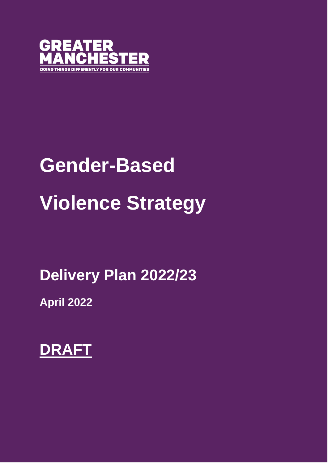

# **Gender-Based Violence Strategy**

**Delivery Plan 2022/23**

**April 2022**

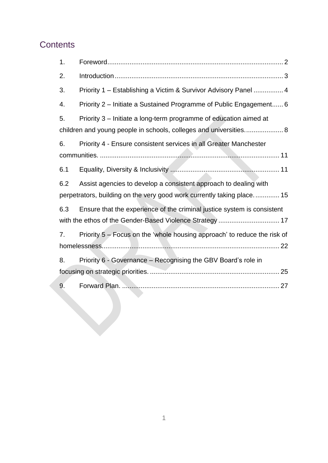#### **Contents**

| 1.                                                                     |                                                                                                                                        |  |  |
|------------------------------------------------------------------------|----------------------------------------------------------------------------------------------------------------------------------------|--|--|
| 2.                                                                     |                                                                                                                                        |  |  |
| 3.                                                                     | Priority 1 - Establishing a Victim & Survivor Advisory Panel  4                                                                        |  |  |
| 4.                                                                     | Priority 2 - Initiate a Sustained Programme of Public Engagement 6                                                                     |  |  |
| 5.                                                                     | Priority 3 - Initiate a long-term programme of education aimed at<br>children and young people in schools, colleges and universities 8 |  |  |
| 6.                                                                     | Priority 4 - Ensure consistent services in all Greater Manchester                                                                      |  |  |
|                                                                        |                                                                                                                                        |  |  |
| 6.1                                                                    |                                                                                                                                        |  |  |
| 6.2                                                                    | Assist agencies to develop a consistent approach to dealing with                                                                       |  |  |
| perpetrators, building on the very good work currently taking place 15 |                                                                                                                                        |  |  |
| 6.3                                                                    | Ensure that the experience of the criminal justice system is consistent                                                                |  |  |
| with the ethos of the Gender-Based Violence Strategy  17               |                                                                                                                                        |  |  |
| 7.                                                                     | Priority 5 - Focus on the 'whole housing approach' to reduce the risk of                                                               |  |  |
|                                                                        |                                                                                                                                        |  |  |
| 8.                                                                     | Priority 6 - Governance - Recognising the GBV Board's role in                                                                          |  |  |
|                                                                        |                                                                                                                                        |  |  |
| 9.                                                                     |                                                                                                                                        |  |  |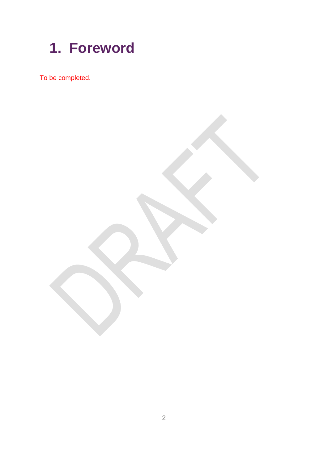<span id="page-2-0"></span>

To be completed.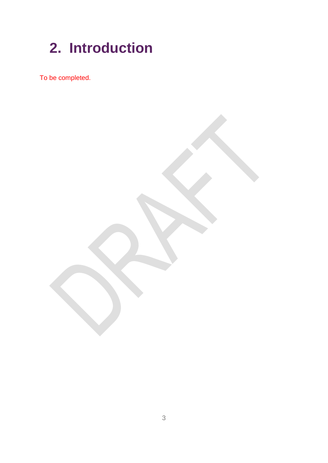## <span id="page-3-0"></span>**2. Introduction**

To be completed.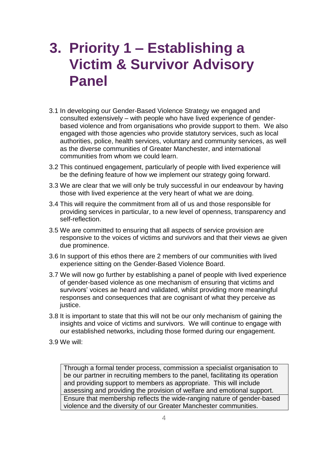#### <span id="page-4-0"></span>**3. Priority 1 – Establishing a Victim & Survivor Advisory Panel**

- 3.1 In developing our Gender-Based Violence Strategy we engaged and consulted extensively – with people who have lived experience of genderbased violence and from organisations who provide support to them. We also engaged with those agencies who provide statutory services, such as local authorities, police, health services, voluntary and community services, as well as the diverse communities of Greater Manchester, and international communities from whom we could learn.
- 3.2 This continued engagement, particularly of people with lived experience will be the defining feature of how we implement our strategy going forward.
- 3.3 We are clear that we will only be truly successful in our endeavour by having those with lived experience at the very heart of what we are doing.
- 3.4 This will require the commitment from all of us and those responsible for providing services in particular, to a new level of openness, transparency and self-reflection.
- 3.5 We are committed to ensuring that all aspects of service provision are responsive to the voices of victims and survivors and that their views ae given due prominence.
- 3.6 In support of this ethos there are 2 members of our communities with lived experience sitting on the Gender-Based Violence Board.
- 3.7 We will now go further by establishing a panel of people with lived experience of gender-based violence as one mechanism of ensuring that victims and survivors' voices ae heard and validated, whilst providing more meaningful responses and consequences that are cognisant of what they perceive as justice.
- 3.8 It is important to state that this will not be our only mechanism of gaining the insights and voice of victims and survivors. We will continue to engage with our established networks, including those formed during our engagement.
- 3.9 We will:

Through a formal tender process, commission a specialist organisation to be our partner in recruiting members to the panel, facilitating its operation and providing support to members as appropriate. This will include assessing and providing the provision of welfare and emotional support. Ensure that membership reflects the wide-ranging nature of gender-based violence and the diversity of our Greater Manchester communities.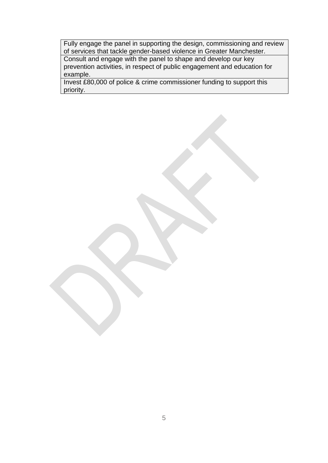Fully engage the panel in supporting the design, commissioning and review of services that tackle gender-based violence in Greater Manchester.

Consult and engage with the panel to shape and develop our key prevention activities, in respect of public engagement and education for example.

Invest £80,000 of police & crime commissioner funding to support this priority.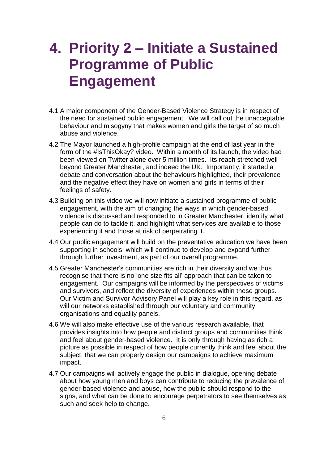#### <span id="page-6-0"></span>**4. Priority 2 – Initiate a Sustained Programme of Public Engagement**

- 4.1 A major component of the Gender-Based Violence Strategy is in respect of the need for sustained public engagement. We will call out the unacceptable behaviour and misogyny that makes women and girls the target of so much abuse and violence.
- 4.2 The Mayor launched a high-profile campaign at the end of last year in the form of the #IsThisOkay? video. Within a month of its launch, the video had been viewed on Twitter alone over 5 million times. Its reach stretched well beyond Greater Manchester, and indeed the UK. Importantly, it started a debate and conversation about the behaviours highlighted, their prevalence and the negative effect they have on women and girls in terms of their feelings of safety.
- 4.3 Building on this video we will now initiate a sustained programme of public engagement, with the aim of changing the ways in which gender-based violence is discussed and responded to in Greater Manchester, identify what people can do to tackle it, and highlight what services are available to those experiencing it and those at risk of perpetrating it.
- 4.4 Our public engagement will build on the preventative education we have been supporting in schools, which will continue to develop and expand further through further investment, as part of our overall programme.
- 4.5 Greater Manchester's communities are rich in their diversity and we thus recognise that there is no 'one size fits all' approach that can be taken to engagement. Our campaigns will be informed by the perspectives of victims and survivors, and reflect the diversity of experiences within these groups. Our Victim and Survivor Advisory Panel will play a key role in this regard, as will our networks established through our voluntary and community organisations and equality panels.
- 4.6 We will also make effective use of the various research available, that provides insights into how people and distinct groups and communities think and feel about gender-based violence. It is only through having as rich a picture as possible in respect of how people currently think and feel about the subject, that we can properly design our campaigns to achieve maximum impact.
- 4.7 Our campaigns will actively engage the public in dialogue, opening debate about how young men and boys can contribute to reducing the prevalence of gender-based violence and abuse, how the public should respond to the signs, and what can be done to encourage perpetrators to see themselves as such and seek help to change.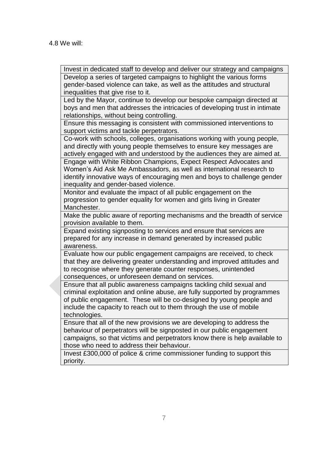Invest in dedicated staff to develop and deliver our strategy and campaigns Develop a series of targeted campaigns to highlight the various forms gender-based violence can take, as well as the attitudes and structural inequalities that give rise to it. Led by the Mayor, continue to develop our bespoke campaign directed at boys and men that addresses the intricacies of developing trust in intimate relationships, without being controlling. Ensure this messaging is consistent with commissioned interventions to support victims and tackle perpetrators. Co-work with schools, colleges, organisations working with young people, and directly with young people themselves to ensure key messages are actively engaged with and understood by the audiences they are aimed at. Engage with White Ribbon Champions, Expect Respect Advocates and Women's Aid Ask Me Ambassadors, as well as international research to identify innovative ways of encouraging men and boys to challenge gender inequality and gender-based violence. Monitor and evaluate the impact of all public engagement on the progression to gender equality for women and girls living in Greater Manchester. Make the public aware of reporting mechanisms and the breadth of service provision available to them. Expand existing signposting to services and ensure that services are prepared for any increase in demand generated by increased public awareness. Evaluate how our public engagement campaigns are received, to check that they are delivering greater understanding and improved attitudes and to recognise where they generate counter responses, unintended consequences, or unforeseen demand on services. Ensure that all public awareness campaigns tackling child sexual and criminal exploitation and online abuse, are fully supported by programmes of public engagement. These will be co-designed by young people and include the capacity to reach out to them through the use of mobile technologies. Ensure that all of the new provisions we are developing to address the behaviour of perpetrators will be signposted in our public engagement campaigns, so that victims and perpetrators know there is help available to those who need to address their behaviour. Invest £300,000 of police & crime commissioner funding to support this priority.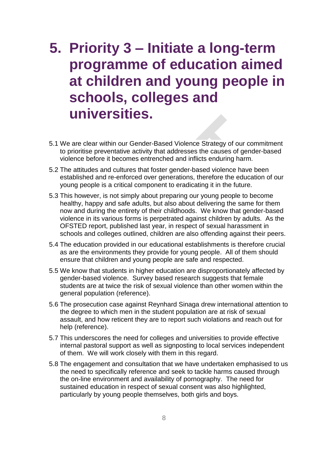#### <span id="page-8-0"></span>**5. Priority 3 – Initiate a long-term programme of education aimed at children and young people in schools, colleges and universities.**

- 5.1 We are clear within our Gender-Based Violence Strategy of our commitment to prioritise preventative activity that addresses the causes of gender-based violence before it becomes entrenched and inflicts enduring harm.
- 5.2 The attitudes and cultures that foster gender-based violence have been established and re-enforced over generations, therefore the education of our young people is a critical component to eradicating it in the future.
- 5.3 This however, is not simply about preparing our young people to become healthy, happy and safe adults, but also about delivering the same for them now and during the entirety of their childhoods. We know that gender-based violence in its various forms is perpetrated against children by adults. As the OFSTED report, published last year, in respect of sexual harassment in schools and colleges outlined, children are also offending against their peers.
- 5.4 The education provided in our educational establishments is therefore crucial as are the environments they provide for young people. All of them should ensure that children and young people are safe and respected.
- 5.5 We know that students in higher education are disproportionately affected by gender-based violence. Survey based research suggests that female students are at twice the risk of sexual violence than other women within the general population (reference).
- 5.6 The prosecution case against Reynhard Sinaga drew international attention to the degree to which men in the student population are at risk of sexual assault, and how reticent they are to report such violations and reach out for help (reference).
- 5.7 This underscores the need for colleges and universities to provide effective internal pastoral support as well as signposting to local services independent of them. We will work closely with them in this regard.
- 5.8 The engagement and consultation that we have undertaken emphasised to us the need to specifically reference and seek to tackle harms caused through the on-line environment and availability of pornography. The need for sustained education in respect of sexual consent was also highlighted, particularly by young people themselves, both girls and boys.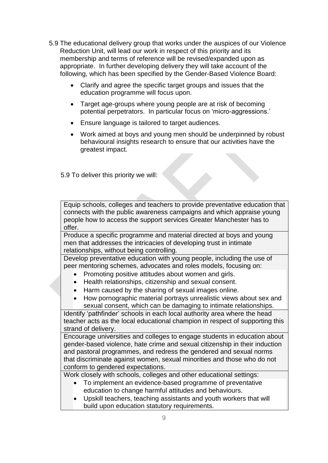- 5.9 The educational delivery group that works under the auspices of our Violence Reduction Unit, will lead our work in respect of this priority and its membership and terms of reference will be revised/expanded upon as appropriate. In further developing delivery they will take account of the following, which has been specified by the Gender-Based Violence Board:
	- Clarify and agree the specific target groups and issues that the education programme will focus upon.
	- Target age-groups where young people are at risk of becoming potential perpetrators. In particular focus on 'micro-aggressions.'
	- Ensure language is tailored to target audiences.
	- Work aimed at boys and young men should be underpinned by robust behavioural insights research to ensure that our activities have the greatest impact.

5.9 To deliver this priority we will:

Equip schools, colleges and teachers to provide preventative education that connects with the public awareness campaigns and which appraise young people how to access the support services Greater Manchester has to offer.

Produce a specific programme and material directed at boys and young men that addresses the intricacies of developing trust in intimate relationships, without being controlling.

Develop preventative education with young people, including the use of peer mentoring schemes, advocates and roles models, focusing on:

- Promoting positive attitudes about women and girls.
- Health relationships, citizenship and sexual consent.
- Harm caused by the sharing of sexual images online.
- How pornographic material portrays unrealistic views about sex and sexual consent, which can be damaging to intimate relationships.

Identify 'pathfinder' schools in each local authority area where the head teacher acts as the local educational champion in respect of supporting this strand of delivery.

Encourage universities and colleges to engage students in education about gender-based violence, hate crime and sexual citizenship in their induction and pastoral programmes, and redress the gendered and sexual norms that discriminate against women, sexual minorities and those who do not conform to gendered expectations.

Work closely with schools, colleges and other educational settings:

- To implement an evidence-based programme of preventative education to change harmful attitudes and behaviours.
- Upskill teachers, teaching assistants and youth workers that will build upon education statutory requirements.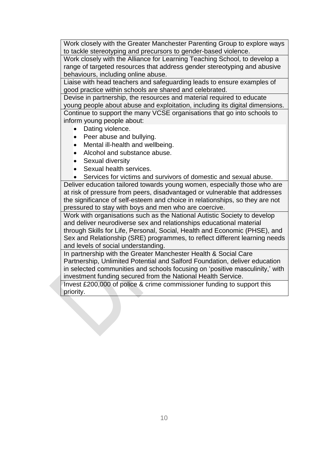Work closely with the Greater Manchester Parenting Group to explore ways to tackle stereotyping and precursors to gender-based violence.

Work closely with the Alliance for Learning Teaching School, to develop a range of targeted resources that address gender stereotyping and abusive behaviours, including online abuse.

Liaise with head teachers and safeguarding leads to ensure examples of good practice within schools are shared and celebrated.

Devise in partnership, the resources and material required to educate young people about abuse and exploitation, including its digital dimensions. Continue to support the many VCSE organisations that go into schools to inform young people about:

- Dating violence.
- Peer abuse and bullying.
- Mental ill-health and wellbeing.
- Alcohol and substance abuse.
- Sexual diversity
- Sexual health services.
- Services for victims and survivors of domestic and sexual abuse.

Deliver education tailored towards young women, especially those who are at risk of pressure from peers, disadvantaged or vulnerable that addresses the significance of self-esteem and choice in relationships, so they are not pressured to stay with boys and men who are coercive.

Work with organisations such as the National Autistic Society to develop and deliver neurodiverse sex and relationships educational material through Skills for Life, Personal, Social, Health and Economic (PHSE), and Sex and Relationship (SRE) programmes, to reflect different learning needs and levels of social understanding.

In partnership with the Greater Manchester Health & Social Care Partnership, Unlimited Potential and Salford Foundation, deliver education in selected communities and schools focusing on 'positive masculinity,' with investment funding secured from the National Health Service.

Invest £200,000 of police & crime commissioner funding to support this priority.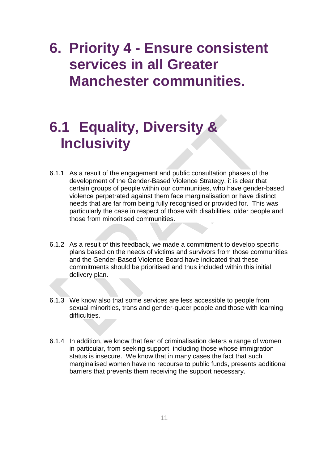#### <span id="page-11-0"></span>**6. Priority 4 - Ensure consistent services in all Greater Manchester communities.**

#### <span id="page-11-1"></span>**6.1 Equality, Diversity & Inclusivity**

- 6.1.1 As a result of the engagement and public consultation phases of the development of the Gender-Based Violence Strategy, it is clear that certain groups of people within our communities, who have gender-based violence perpetrated against them face marginalisation or have distinct needs that are far from being fully recognised or provided for. This was particularly the case in respect of those with disabilities, older people and those from minoritised communities.
- 6.1.2 As a result of this feedback, we made a commitment to develop specific plans based on the needs of victims and survivors from those communities and the Gender-Based Violence Board have indicated that these commitments should be prioritised and thus included within this initial delivery plan.
- 6.1.3 We know also that some services are less accessible to people from sexual minorities, trans and gender-queer people and those with learning difficulties.
- 6.1.4 In addition, we know that fear of criminalisation deters a range of women in particular, from seeking support, including those whose immigration status is insecure. We know that in many cases the fact that such marginalised women have no recourse to public funds, presents additional barriers that prevents them receiving the support necessary.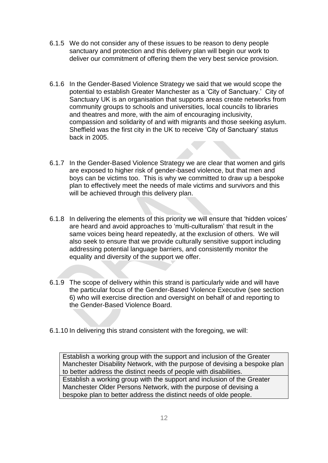- 6.1.5 We do not consider any of these issues to be reason to deny people sanctuary and protection and this delivery plan will begin our work to deliver our commitment of offering them the very best service provision.
- 6.1.6 In the Gender-Based Violence Strategy we said that we would scope the potential to establish Greater Manchester as a 'City of Sanctuary.' City of Sanctuary UK is an organisation that supports areas create networks from community groups to schools and universities, local councils to libraries and theatres and more, with the aim of encouraging inclusivity, compassion and solidarity of and with migrants and those seeking asylum. Sheffield was the first city in the UK to receive 'City of Sanctuary' status back in 2005.
- 6.1.7 In the Gender-Based Violence Strategy we are clear that women and girls are exposed to higher risk of gender-based violence, but that men and boys can be victims too. This is why we committed to draw up a bespoke plan to effectively meet the needs of male victims and survivors and this will be achieved through this delivery plan.
- 6.1.8 In delivering the elements of this priority we will ensure that 'hidden voices' are heard and avoid approaches to 'multi-culturalism' that result in the same voices being heard repeatedly, at the exclusion of others. We will also seek to ensure that we provide culturally sensitive support including addressing potential language barriers, and consistently monitor the equality and diversity of the support we offer.
- 6.1.9 The scope of delivery within this strand is particularly wide and will have the particular focus of the Gender-Based Violence Executive (see section 6) who will exercise direction and oversight on behalf of and reporting to the Gender-Based Violence Board.
- 6.1.10 In delivering this strand consistent with the foregoing, we will:

Establish a working group with the support and inclusion of the Greater Manchester Disability Network, with the purpose of devising a bespoke plan to better address the distinct needs of people with disabilities. Establish a working group with the support and inclusion of the Greater Manchester Older Persons Network, with the purpose of devising a bespoke plan to better address the distinct needs of olde people.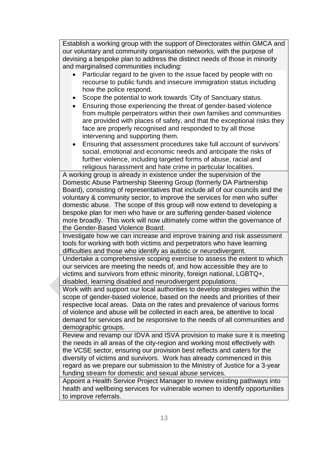Establish a working group with the support of Directorates within GMCA and our voluntary and community organisation networks, with the purpose of devising a bespoke plan to address the distinct needs of those in minority and marginalised communities including:

- Particular regard to be given to the issue faced by people with no recourse to public funds and insecure immigration status including how the police respond.
- Scope the potential to work towards 'City of Sanctuary status.
- Ensuring those experiencing the threat of gender-based violence from multiple perpetrators within their own families and communities are provided with places of safety, and that the exceptional risks they face are properly recognised and responded to by all those intervening and supporting them.
- Ensuring that assessment procedures take full account of survivors' social, emotional and economic needs and anticipate the risks of further violence, including targeted forms of abuse, racial and religious harassment and hate crime in particular localities.

A working group is already in existence under the supervision of the Domestic Abuse Partnership Steering Group (formerly DA Partnership Board), consisting of representatives that include all of our councils and the voluntary & community sector, to improve the services for men who suffer domestic abuse. The scope of this group will now extend to developing a bespoke plan for men who have or are suffering gender-based violence more broadly. This work will now ultimately come within the governance of the Gender-Based Violence Board.

Investigate how we can increase and improve training and risk assessment tools for working with both victims and perpetrators who have learning difficulties and those who identify as autistic or neurodivergent.

Undertake a comprehensive scoping exercise to assess the extent to which our services are meeting the needs of, and how accessible they are to victims and survivors from ethnic minority, foreign national, LGBTQ+, disabled, learning disabled and neurodivergent populations.

Work with and support our local authorities to develop strategies within the scope of gender-based violence, based on the needs and priorities of their respective local areas. Data on the rates and prevalence of various forms of violence and abuse will be collected in each area, be attentive to local demand for services and be responsive to the needs of all communities and demographic groups.

Review and revamp our IDVA and ISVA provision to make sure it is meeting the needs in all areas of the city-region and working most effectively with the VCSE sector, ensuring our provision best reflects and caters for the diversity of victims and survivors. Work has already commenced in this regard as we prepare our submission to the Ministry of Justice for a 3-year funding stream for domestic and sexual abuse services.

Appoint a Health Service Project Manager to review existing pathways into health and wellbeing services for vulnerable women to identify opportunities to improve referrals.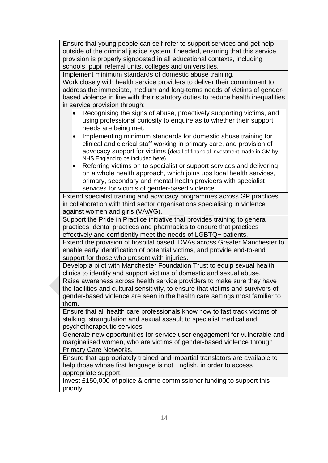Ensure that young people can self-refer to support services and get help outside of the criminal justice system if needed, ensuring that this service provision is properly signposted in all educational contexts, including schools, pupil referral units, colleges and universities.

Implement minimum standards of domestic abuse training.

Work closely with health service providers to deliver their commitment to address the immediate, medium and long-terms needs of victims of genderbased violence in line with their statutory duties to reduce health inequalities in service provision through:

- Recognising the signs of abuse, proactively supporting victims, and using professional curiosity to enquire as to whether their support needs are being met.
- Implementing minimum standards for domestic abuse training for clinical and clerical staff working in primary care, and provision of advocacy support for victims (detail of financial investment made in GM by NHS England to be included here).
- Referring victims on to specialist or support services and delivering on a whole health approach, which joins ups local health services, primary, secondary and mental health providers with specialist services for victims of gender-based violence.

Extend specialist training and advocacy programmes across GP practices in collaboration with third sector organisations specialising in violence against women and girls (VAWG).

Support the Pride in Practice initiative that provides training to general practices, dental practices and pharmacies to ensure that practices effectively and confidently meet the needs of LGBTQ+ patients.

Extend the provision of hospital based IDVAs across Greater Manchester to enable early identification of potential victims, and provide end-to-end support for those who present with injuries.

Develop a pilot with Manchester Foundation Trust to equip sexual health clinics to identify and support victims of domestic and sexual abuse.

Raise awareness across health service providers to make sure they have the facilities and cultural sensitivity, to ensure that victims and survivors of gender-based violence are seen in the health care settings most familiar to them.

Ensure that all health care professionals know how to fast track victims of stalking, strangulation and sexual assault to specialist medical and psychotherapeutic services.

Generate new opportunities for service user engagement for vulnerable and marginalised women, who are victims of gender-based violence through Primary Care Networks.

Ensure that appropriately trained and impartial translators are available to help those whose first language is not English, in order to access appropriate support.

Invest £150,000 of police & crime commissioner funding to support this priority.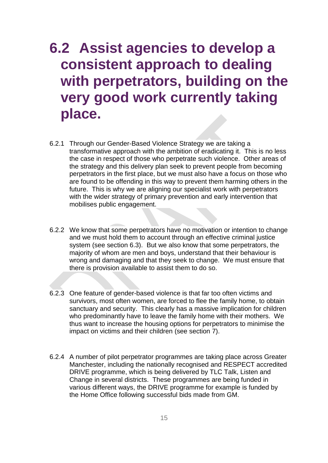#### <span id="page-15-0"></span>**6.2 Assist agencies to develop a consistent approach to dealing with perpetrators, building on the very good work currently taking place.**

- 6.2.1 Through our Gender-Based Violence Strategy we are taking a transformative approach with the ambition of eradicating it. This is no less the case in respect of those who perpetrate such violence. Other areas of the strategy and this delivery plan seek to prevent people from becoming perpetrators in the first place, but we must also have a focus on those who are found to be offending in this way to prevent them harming others in the future. This is why we are aligning our specialist work with perpetrators with the wider strategy of primary prevention and early intervention that mobilises public engagement.
- 6.2.2 We know that some perpetrators have no motivation or intention to change and we must hold them to account through an effective criminal justice system (see section 6.3). But we also know that some perpetrators, the majority of whom are men and boys, understand that their behaviour is wrong and damaging and that they seek to change. We must ensure that there is provision available to assist them to do so.
- 6.2.3 One feature of gender-based violence is that far too often victims and survivors, most often women, are forced to flee the family home, to obtain sanctuary and security. This clearly has a massive implication for children who predominantly have to leave the family home with their mothers. We thus want to increase the housing options for perpetrators to minimise the impact on victims and their children (see section 7).
- 6.2.4 A number of pilot perpetrator programmes are taking place across Greater Manchester, including the nationally recognised and RESPECT accredited DRIVE programme, which is being delivered by TLC Talk, Listen and Change in several districts. These programmes are being funded in various different ways, the DRIVE programme for example is funded by the Home Office following successful bids made from GM.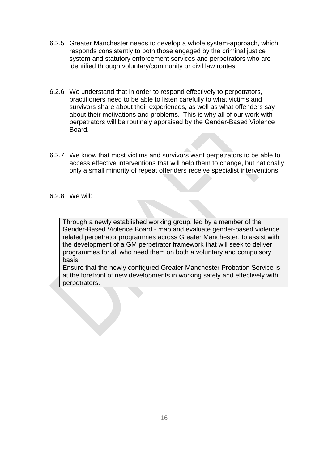- 6.2.5 Greater Manchester needs to develop a whole system-approach, which responds consistently to both those engaged by the criminal justice system and statutory enforcement services and perpetrators who are identified through voluntary/community or civil law routes.
- 6.2.6 We understand that in order to respond effectively to perpetrators, practitioners need to be able to listen carefully to what victims and survivors share about their experiences, as well as what offenders say about their motivations and problems. This is why all of our work with perpetrators will be routinely appraised by the Gender-Based Violence Board.
- 6.2.7 We know that most victims and survivors want perpetrators to be able to access effective interventions that will help them to change, but nationally only a small minority of repeat offenders receive specialist interventions.
- 6.2.8 We will:

Through a newly established working group, led by a member of the Gender-Based Violence Board - map and evaluate gender-based violence related perpetrator programmes across Greater Manchester, to assist with the development of a GM perpetrator framework that will seek to deliver programmes for all who need them on both a voluntary and compulsory basis.

Ensure that the newly configured Greater Manchester Probation Service is at the forefront of new developments in working safely and effectively with perpetrators.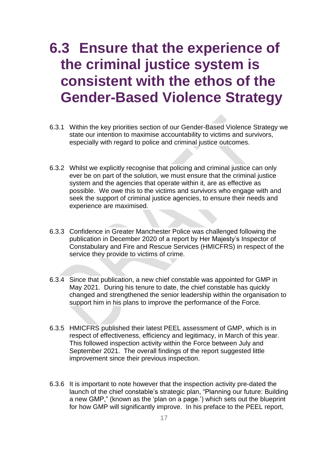#### <span id="page-17-0"></span>**6.3 Ensure that the experience of the criminal justice system is consistent with the ethos of the Gender-Based Violence Strategy**

- 6.3.1 Within the key priorities section of our Gender-Based Violence Strategy we state our intention to maximise accountability to victims and survivors, especially with regard to police and criminal justice outcomes.
- 6.3.2 Whilst we explicitly recognise that policing and criminal justice can only ever be on part of the solution, we must ensure that the criminal justice system and the agencies that operate within it, are as effective as possible. We owe this to the victims and survivors who engage with and seek the support of criminal justice agencies, to ensure their needs and experience are maximised.
- 6.3.3 Confidence in Greater Manchester Police was challenged following the publication in December 2020 of a report by Her Majesty's Inspector of Constabulary and Fire and Rescue Services (HMICFRS) in respect of the service they provide to victims of crime.
- 6.3.4 Since that publication, a new chief constable was appointed for GMP in May 2021. During his tenure to date, the chief constable has quickly changed and strengthened the senior leadership within the organisation to support him in his plans to improve the performance of the Force.
- 6.3.5 HMICFRS published their latest PEEL assessment of GMP, which is in respect of effectiveness, efficiency and legitimacy, in March of this year. This followed inspection activity within the Force between July and September 2021. The overall findings of the report suggested little improvement since their previous inspection.
- 6.3.6 It is important to note however that the inspection activity pre-dated the launch of the chief constable's strategic plan, "Planning our future: Building a new GMP," (known as the 'plan on a page.') which sets out the blueprint for how GMP will significantly improve. In his preface to the PEEL report,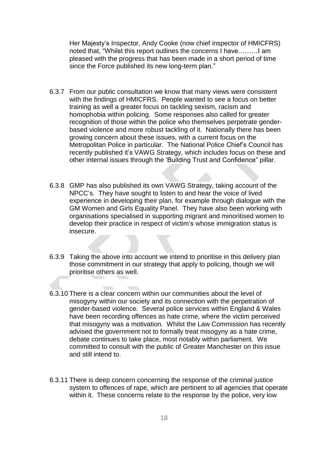Her Majesty's Inspector, Andy Cooke (now chief inspector of HMICFRS) noted that, "Whilst this report outlines the concerns I have………I am pleased with the progress that has been made in a short period of time since the Force published its new long-term plan."

- 6.3.7 From our public consultation we know that many views were consistent with the findings of HMICFRS. People wanted to see a focus on better training as well a greater focus on tackling sexism, racism and homophobia within policing. Some responses also called for greater recognition of those within the police who themselves perpetrate genderbased violence and more robust tackling of it. Nationally there has been growing concern about these issues, with a current focus on the Metropolitan Police in particular. The National Police Chief's Council has recently published it's VAWG Strategy, which includes focus on these and other internal issues through the 'Building Trust and Confidence" pillar.
- 6.3.8 GMP has also published its own VAWG Strategy, taking account of the NPCC's. They have sought to listen to and hear the voice of lived experience in developing their plan, for example through dialogue with the GM Women and Girls Equality Panel. They have also been working with organisations specialised in supporting migrant and minoritised women to develop their practice in respect of victim's whose immigration status is insecure.
- 6.3.9 Taking the above into account we intend to prioritise in this delivery plan those commitment in our strategy that apply to policing, though we will prioritise others as well.
- 6.3.10 There is a clear concern within our communities about the level of misogyny within our society and its connection with the perpetration of gender-based violence. Several police services within England & Wales have been recording offences as hate crime, where the victim perceived that misogyny was a motivation. Whilst the Law Commission has recently advised the government not to formally treat misogyny as a hate crime, debate continues to take place, most notably within parliament. We committed to consult with the public of Greater Manchester on this issue and still intend to.
- 6.3.11 There is deep concern concerning the response of the criminal justice system to offences of rape, which are pertinent to all agencies that operate within it. These concerns relate to the response by the police, very low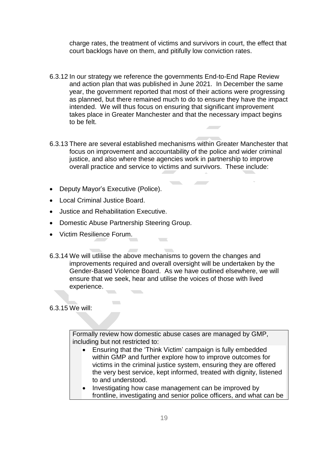charge rates, the treatment of victims and survivors in court, the effect that court backlogs have on them, and pitifully low conviction rates.

- 6.3.12 In our strategy we reference the governments End-to-End Rape Review and action plan that was published in June 2021. In December the same year, the government reported that most of their actions were progressing as planned, but there remained much to do to ensure they have the impact intended. We will thus focus on ensuring that significant improvement takes place in Greater Manchester and that the necessary impact begins to be felt.
- 6.3.13 There are several established mechanisms within Greater Manchester that focus on improvement and accountability of the police and wider criminal justice, and also where these agencies work in partnership to improve overall practice and service to victims and survivors. These include:
- Deputy Mayor's Executive (Police).
- Local Criminal Justice Board.
- Justice and Rehabilitation Executive.
- Domestic Abuse Partnership Steering Group.

 $\mathcal{L}^{\mathcal{L}}$ 

- Victim Resilience Forum.
- 6.3.14 We will utlilise the above mechanisms to govern the changes and improvements required and overall oversight will be undertaken by the Gender-Based Violence Board. As we have outlined elsewhere, we will ensure that we seek, hear and utilise the voices of those with lived experience.

 $\mathcal{L}$ 

6.3.15 We will:

Formally review how domestic abuse cases are managed by GMP, including but not restricted to:

- Ensuring that the 'Think Victim' campaign is fully embedded within GMP and further explore how to improve outcomes for victims in the criminal justice system, ensuring they are offered the very best service, kept informed, treated with dignity, listened to and understood.
- Investigating how case management can be improved by frontline, investigating and senior police officers, and what can be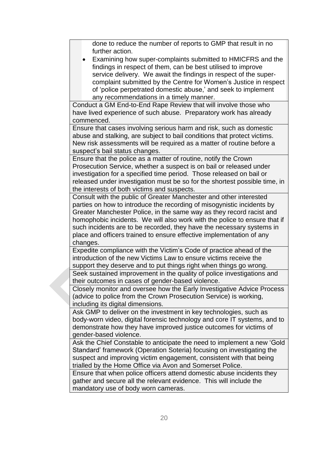done to reduce the number of reports to GMP that result in no further action.

 Examining how super-complaints submitted to HMICFRS and the findings in respect of them, can be best utilised to improve service delivery. We await the findings in respect of the supercomplaint submitted by the Centre for Women's Justice in respect of 'police perpetrated domestic abuse,' and seek to implement any recommendations in a timely manner.

Conduct a GM End-to-End Rape Review that will involve those who have lived experience of such abuse. Preparatory work has already commenced.

Ensure that cases involving serious harm and risk, such as domestic abuse and stalking, are subject to bail conditions that protect victims. New risk assessments will be required as a matter of routine before a suspect's bail status changes.

Ensure that the police as a matter of routine, notify the Crown Prosecution Service, whether a suspect is on bail or released under investigation for a specified time period. Those released on bail or released under investigation must be so for the shortest possible time, in the interests of both victims and suspects.

Consult with the public of Greater Manchester and other interested parties on how to introduce the recording of misogynistic incidents by Greater Manchester Police, in the same way as they record racist and homophobic incidents. We will also work with the police to ensure that if such incidents are to be recorded, they have the necessary systems in place and officers trained to ensure effective implementation of any changes.

Expedite compliance with the Victim's Code of practice ahead of the introduction of the new Victims Law to ensure victims receive the support they deserve and to put things right when things go wrong. Seek sustained improvement in the quality of police investigations and

their outcomes in cases of gender-based violence.

Closely monitor and oversee how the Early Investigative Advice Process (advice to police from the Crown Prosecution Service) is working, including its digital dimensions.

Ask GMP to deliver on the investment in key technologies, such as body-worn video, digital forensic technology and core IT systems, and to demonstrate how they have improved justice outcomes for victims of gender-based violence.

Ask the Chief Constable to anticipate the need to implement a new 'Gold Standard' framework (Operation Soteria) focusing on investigating the suspect and improving victim engagement, consistent with that being trialled by the Home Office via Avon and Somerset Police.

Ensure that when police officers attend domestic abuse incidents they gather and secure all the relevant evidence. This will include the mandatory use of body worn cameras.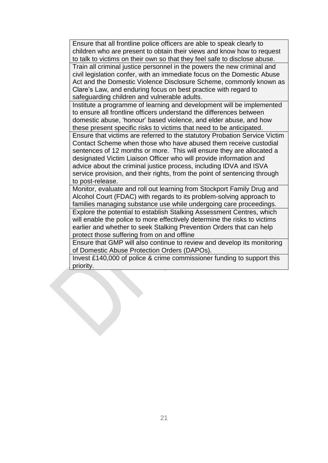Ensure that all frontline police officers are able to speak clearly to children who are present to obtain their views and know how to request to talk to victims on their own so that they feel safe to disclose abuse. Train all criminal justice personnel in the powers the new criminal and civil legislation confer, with an immediate focus on the Domestic Abuse Act and the Domestic Violence Disclosure Scheme, commonly known as Clare's Law, and enduring focus on best practice with regard to safeguarding children and vulnerable adults.

Institute a programme of learning and development will be implemented to ensure all frontline officers understand the differences between domestic abuse, 'honour' based violence, and elder abuse, and how these present specific risks to victims that need to be anticipated.

Ensure that victims are referred to the statutory Probation Service Victim Contact Scheme when those who have abused them receive custodial sentences of 12 months or more. This will ensure they are allocated a designated Victim Liaison Officer who will provide information and advice about the criminal justice process, including IDVA and ISVA service provision, and their rights, from the point of sentencing through to post-release.

Monitor, evaluate and roll out learning from Stockport Family Drug and Alcohol Court (FDAC) with regards to its problem-solving approach to families managing substance use while undergoing care proceedings.

Explore the potential to establish Stalking Assessment Centres, which will enable the police to more effectively determine the risks to victims earlier and whether to seek Stalking Prevention Orders that can help protect those suffering from on and offline

Ensure that GMP will also continue to review and develop its monitoring of Domestic Abuse Protection Orders (DAPOs).

Invest £140,000 of police & crime commissioner funding to support this priority.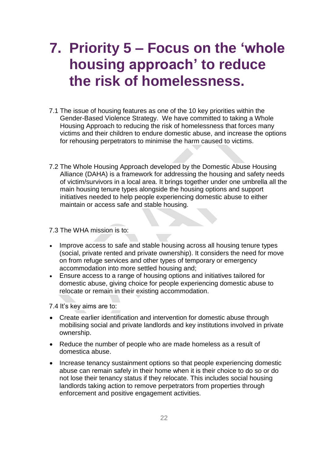#### <span id="page-22-0"></span>**7. Priority 5 – Focus on the 'whole housing approach' to reduce the risk of homelessness.**

- 7.1 The issue of housing features as one of the 10 key priorities within the Gender-Based Violence Strategy. We have committed to taking a Whole Housing Approach to reducing the risk of homelessness that forces many victims and their children to endure domestic abuse, and increase the options for rehousing perpetrators to minimise the harm caused to victims.
- 7.2 The Whole Housing Approach developed by the Domestic Abuse Housing Alliance (DAHA) is a framework for addressing the housing and safety needs of victim/survivors in a local area. It brings together under one umbrella all the main housing tenure types alongside the housing options and support initiatives needed to help people experiencing domestic abuse to either maintain or access safe and stable housing.

#### 7.3 The WHA mission is to:

- Improve access to safe and stable housing across all housing tenure types (social, private rented and private ownership). It considers the need for move on from refuge services and other types of temporary or emergency accommodation into more settled housing and;
- Ensure access to a range of housing options and initiatives tailored for domestic abuse, giving choice for people experiencing domestic abuse to relocate or remain in their existing accommodation.

7.4 It's key aims are to:

- Create earlier identification and intervention for domestic abuse through mobilising social and private landlords and key institutions involved in private ownership.
- Reduce the number of people who are made homeless as a result of domestica abuse.
- Increase tenancy sustainment options so that people experiencing domestic abuse can remain safely in their home when it is their choice to do so or do not lose their tenancy status if they relocate. This includes social housing landlords taking action to remove perpetrators from properties through enforcement and positive engagement activities.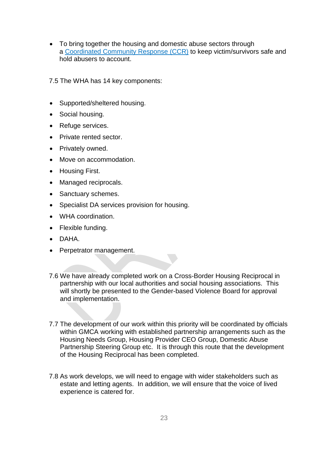- To bring together the housing and domestic abuse sectors through a [Coordinated](https://www.standingtogether.org.uk/what-is-ccr) Community Response (CCR) to keep victim/survivors safe and hold abusers to account.
- 7.5 The WHA has 14 key components:
- Supported/sheltered housing.
- Social housing.
- Refuge services.
- Private rented sector.
- Privately owned.
- Move on accommodation.
- Housing First.
- Managed reciprocals.
- Sanctuary schemes.
- Specialist DA services provision for housing.
- WHA coordination.
- Flexible funding.
- DAHA.
- Perpetrator management.
- 7.6 We have already completed work on a Cross-Border Housing Reciprocal in partnership with our local authorities and social housing associations. This will shortly be presented to the Gender-based Violence Board for approval and implementation.
- 7.7 The development of our work within this priority will be coordinated by officials within GMCA working with established partnership arrangements such as the Housing Needs Group, Housing Provider CEO Group, Domestic Abuse Partnership Steering Group etc. It is through this route that the development of the Housing Reciprocal has been completed.
- 7.8 As work develops, we will need to engage with wider stakeholders such as estate and letting agents. In addition, we will ensure that the voice of lived experience is catered for.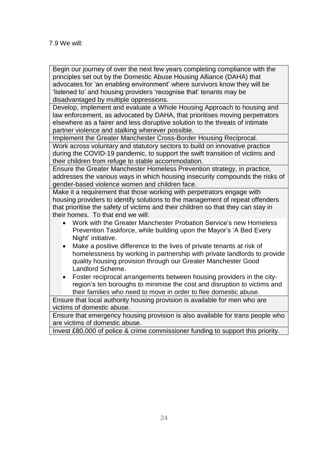Begin our journey of over the next few years completing compliance with the principles set out by the Domestic Abuse Housing Alliance (DAHA) that advocates for 'an enabling environment' where survivors know they will be 'listened to' and housing providers 'recognise that' tenants may be disadvantaged by multiple oppressions.

Develop, implement and evaluate a Whole Housing Approach to housing and law enforcement, as advocated by DAHA, that prioritises moving perpetrators elsewhere as a fairer and less disruptive solution to the threats of intimate partner violence and stalking wherever possible.

Implement the Greater Manchester Cross-Border Housing Reciprocal.

Work across voluntary and statutory sectors to build on innovative practice during the COVID-19 pandemic, to support the swift transition of victims and their children from refuge to stable accommodation.

Ensure the Greater Manchester Homeless Prevention strategy, in practice, addresses the various ways in which housing insecurity compounds the risks of gender-based violence women and children face.

Make it a requirement that those working with perpetrators engage with housing providers to identify solutions to the management of repeat offenders that prioritise the safety of victims and their children so that they can stay in their homes. To that end we will:

- Work with the Greater Manchester Probation Service's new Homeless Prevention Taskforce, while building upon the Mayor's 'A Bed Every Night' initiative.
- Make a positive difference to the lives of private tenants at risk of homelessness by working in partnership with private landlords to provide quality housing provision through our Greater Manchester Good Landlord Scheme.
- Foster reciprocal arrangements between housing providers in the cityregion's ten boroughs to minimise the cost and disruption to victims and their families who need to move in order to flee domestic abuse.

Ensure that local authority housing provision is available for men who are victims of domestic abuse.

Ensure that emergency housing provision is also available for trans people who are victims of domestic abuse.

Invest £80,000 of police & crime commissioner funding to support this priority.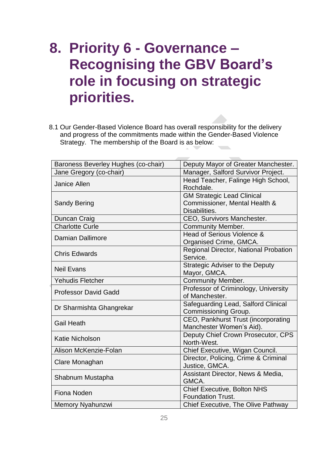#### <span id="page-25-0"></span>**8. Priority 6 - Governance – Recognising the GBV Board's role in focusing on strategic priorities.**

8.1 Our Gender-Based Violence Board has overall responsibility for the delivery and progress of the commitments made within the Gender-Based Violence Strategy. The membership of the Board is as below:

| Baroness Beverley Hughes (co-chair) | Deputy Mayor of Greater Manchester.                                                 |  |  |
|-------------------------------------|-------------------------------------------------------------------------------------|--|--|
| Jane Gregory (co-chair)             | Manager, Salford Survivor Project.                                                  |  |  |
| <b>Janice Allen</b>                 | Head Teacher, Falinge High School,<br>Rochdale.                                     |  |  |
| <b>Sandy Bering</b>                 | <b>GM Strategic Lead Clinical</b><br>Commissioner, Mental Health &<br>Disabilities. |  |  |
| Duncan Craig                        | CEO, Survivors Manchester.                                                          |  |  |
| <b>Charlotte Curle</b>              | <b>Community Member.</b>                                                            |  |  |
| <b>Damian Dallimore</b>             | Head of Serious Violence &<br>Organised Crime, GMCA.                                |  |  |
| <b>Chris Edwards</b>                | Regional Director, National Probation<br>Service.                                   |  |  |
| <b>Neil Evans</b>                   | Strategic Adviser to the Deputy<br>Mayor, GMCA.                                     |  |  |
| <b>Yehudis Fletcher</b>             | <b>Community Member.</b>                                                            |  |  |
| <b>Professor David Gadd</b>         | Professor of Criminology, University<br>of Manchester.                              |  |  |
| Dr Sharmishta Ghangrekar            | Safeguarding Lead, Salford Clinical<br>Commissioning Group.                         |  |  |
| <b>Gail Heath</b>                   | CEO, Pankhurst Trust (incorporating<br>Manchester Women's Aid).                     |  |  |
| <b>Katie Nicholson</b>              | Deputy Chief Crown Prosecutor, CPS<br>North-West.                                   |  |  |
| Alison McKenzie-Folan               | Chief Executive, Wigan Council.                                                     |  |  |
| Clare Monaghan                      | Director, Policing, Crime & Criminal<br>Justice, GMCA.                              |  |  |
| Shabnum Mustapha                    | Assistant Director, News & Media,<br>GMCA.                                          |  |  |
| Fiona Noden                         | <b>Chief Executive, Bolton NHS</b><br><b>Foundation Trust.</b>                      |  |  |
| Memory Nyahunzwi                    | Chief Executive, The Olive Pathway                                                  |  |  |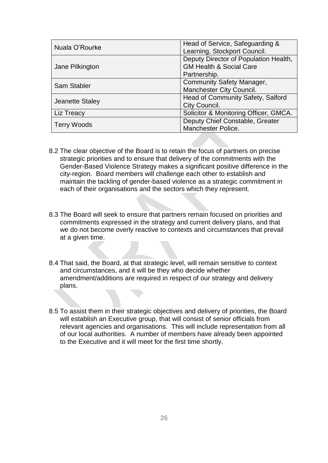| Nuala O'Rourke     | Head of Service, Safeguarding &<br>Learning, Stockport Council.                             |
|--------------------|---------------------------------------------------------------------------------------------|
| Jane Pilkington    | Deputy Director of Population Health,<br><b>GM Health &amp; Social Care</b><br>Partnership. |
| <b>Sam Stabler</b> | <b>Community Safety Manager,</b><br>Manchester City Council.                                |
| Jeanette Staley    | Head of Community Safety, Salford<br>City Council.                                          |
| Liz Treacy         | Solicitor & Monitoring Officer, GMCA.                                                       |
| <b>Terry Woods</b> | Deputy Chief Constable, Greater<br>Manchester Police.                                       |

- 8.2 The clear objective of the Board is to retain the focus of partners on precise strategic priorities and to ensure that delivery of the commitments with the Gender-Based Violence Strategy makes a significant positive difference in the city-region. Board members will challenge each other to establish and maintain the tackling of gender-based violence as a strategic commitment in each of their organisations and the sectors which they represent.
- 8.3 The Board will seek to ensure that partners remain focused on priorities and commitments expressed in the strategy and current delivery plans, and that we do not become overly reactive to contexts and circumstances that prevail at a given time.
- 8.4 That said, the Board, at that strategic level, will remain sensitive to context and circumstances, and it will be they who decide whether amendment/additions are required in respect of our strategy and delivery plans.
- 8.5 To assist them in their strategic objectives and delivery of priorities, the Board will establish an Executive group, that will consist of senior officials from relevant agencies and organisations. This will include representation from all of our local authorities. A number of members have already been appointed to the Executive and it will meet for the first time shortly.